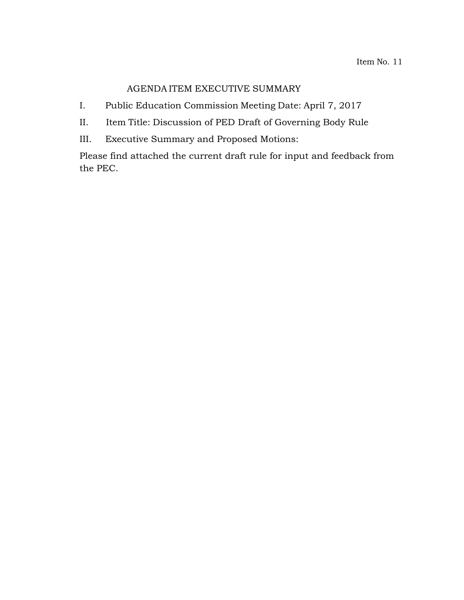# AGENDA ITEM EXECUTIVE SUMMARY

- I. Public Education Commission Meeting Date: April 7, 2017
- II. Item Title: Discussion of PED Draft of Governing Body Rule
- III. Executive Summary and Proposed Motions:

Please find attached the current draft rule for input and feedback from the PEC.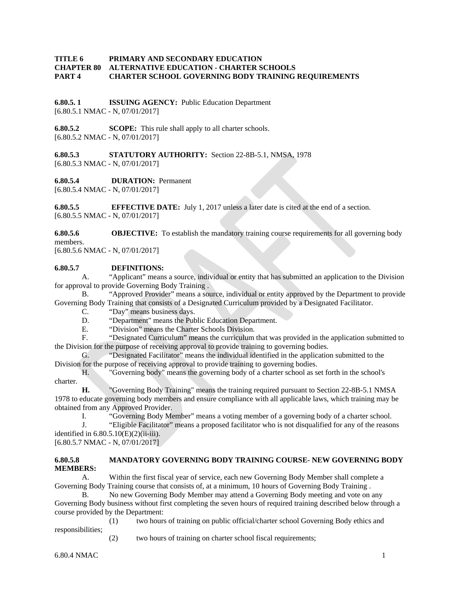## **TITLE 6 PRIMARY AND SECONDARY EDUCATION CHAPTER 80 ALTERNATIVE EDUCATION - CHARTER SCHOOLS PART 4 CHARTER SCHOOL GOVERNING BODY TRAINING REQUIREMENTS**

**6.80.5. 1 ISSUING AGENCY:** Public Education Department [6.80.5.1 NMAC - N, 07/01/2017]

**6.80.5.2 SCOPE:** This rule shall apply to all charter schools. [6.80.5.2 NMAC - N, 07/01/2017]

**6.80.5.3 STATUTORY AUTHORITY:** Section 22-8B-5.1, NMSA, 1978 [6.80.5.3 NMAC - N, 07/01/2017]

**6.80.5.4 DURATION:** Permanent

[6.80.5.4 NMAC - N, 07/01/2017]

**6.80.5.5 EFFECTIVE DATE:** July 1, 2017 unless a later date is cited at the end of a section. [6.80.5.5 NMAC - N, 07/01/2017]

**6.80.5.6 OBJECTIVE:** To establish the mandatory training course requirements for all governing body members.

[6.80.5.6 NMAC - N, 07/01/2017]

#### **6.80.5.7 DEFINITIONS:**

A. "Applicant" means a source, individual or entity that has submitted an application to the Division for approval to provide Governing Body Training .

B. "Approved Provider" means a source, individual or entity approved by the Department to provide Governing Body Training that consists of a Designated Curriculum provided by a Designated Facilitator.

C. "Day" means business days.<br>D. "Department" means the Pul-

D. "Department" means the Public Education Department.<br>E. "Division" means the Charter Schools Division.

"Division" means the Charter Schools Division.

F. "Designated Curriculum" means the curriculum that was provided in the application submitted to the Division for the purpose of receiving approval to provide training to governing bodies.

G. "Designated Facilitator" means the individual identified in the application submitted to the Division for the purpose of receiving approval to provide training to governing bodies.

H. "Governing body" means the governing body of a charter school as set forth in the school's charter.

**H.** "Governing Body Training" means the training required pursuant to Section 22-8B-5.1 NMSA 1978 to educate governing body members and ensure compliance with all applicable laws, which training may be obtained from any Approved Provider.

I. "Governing Body Member" means a voting member of a governing body of a charter school.<br>I "Eligible Facilitator" means a proposed facilitator who is not disqualified for any of the reason

"Eligible Facilitator" means a proposed facilitator who is not disqualified for any of the reasons identified in  $6.80.5.10(E)(2)(ii-iii)$ .

[6.80.5.7 NMAC - N, 07/01/2017]

## **6.80.5.8 MANDATORY GOVERNING BODY TRAINING COURSE- NEW GOVERNING BODY MEMBERS:**

A. Within the first fiscal year of service, each new Governing Body Member shall complete a Governing Body Training course that consists of, at a minimum, 10 hours of Governing Body Training.

B. No new Governing Body Member may attend a Governing Body meeting and vote on any Governing Body business without first completing the seven hours of required training described below through a course provided by the Department:

(1) two hours of training on public official/charter school Governing Body ethics and responsibilities;

(2) two hours of training on charter school fiscal requirements;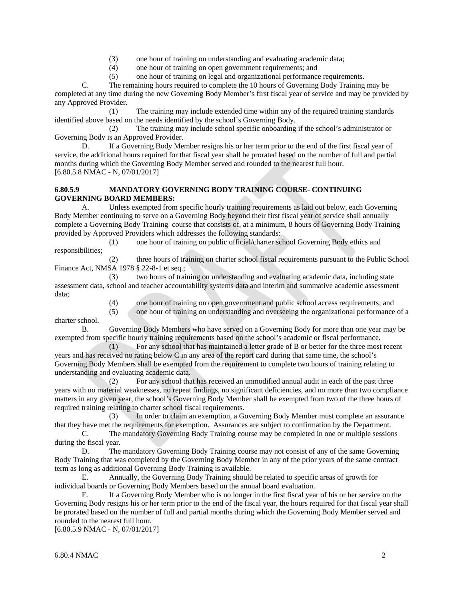- (3) one hour of training on understanding and evaluating academic data;
- (4) one hour of training on open government requirements; and
- (5) one hour of training on legal and organizational performance requirements.

C. The remaining hours required to complete the 10 hours of Governing Body Training may be completed at any time during the new Governing Body Member's first fiscal year of service and may be provided by any Approved Provider.

(1) The training may include extended time within any of the required training standards identified above based on the needs identified by the school's Governing Body.

(2) The training may include school specific onboarding if the school's administrator or Governing Body is an Approved Provider.

D. If a Governing Body Member resigns his or her term prior to the end of the first fiscal year of service, the additional hours required for that fiscal year shall be prorated based on the number of full and partial months during which the Governing Body Member served and rounded to the nearest full hour. [6.80.5.8 NMAC - N, 07/01/2017]

## **6.80.5.9 MANDATORY GOVERNING BODY TRAINING COURSE- CONTINUING GOVERNING BOARD MEMBERS:**

A. Unless exempted from specific hourly training requirements as laid out below, each Governing Body Member continuing to serve on a Governing Body beyond their first fiscal year of service shall annually complete a Governing Body Training course that consists of, at a minimum, 8 hours of Governing Body Training provided by Approved Providers which addresses the following standards:

(1) one hour of training on public official/charter school Governing Body ethics and responsibilities;

(2) three hours of training on charter school fiscal requirements pursuant to the Public School Finance Act, NMSA 1978 § 22-8-1 et seq.;

(3) two hours of training on understanding and evaluating academic data, including state assessment data, school and teacher accountability systems data and interim and summative academic assessment data;

(4) one hour of training on open government and public school access requirements; and

(5) one hour of training on understanding and overseeing the organizational performance of a charter school.

B. Governing Body Members who have served on a Governing Body for more than one year may be exempted from specific hourly training requirements based on the school's academic or fiscal performance.

(1) For any school that has maintained a letter grade of B or better for the three most recent years and has received no rating below C in any area of the report card during that same time, the school's Governing Body Members shall be exempted from the requirement to complete two hours of training relating to understanding and evaluating academic data.

(2) For any school that has received an unmodified annual audit in each of the past three years with no material weaknesses, no repeat findings, no significant deficiencies, and no more than two compliance matters in any given year, the school's Governing Body Member shall be exempted from two of the three hours of required training relating to charter school fiscal requirements.

(3) In order to claim an exemption, a Governing Body Member must complete an assurance that they have met the requirements for exemption. Assurances are subject to confirmation by the Department.

C. The mandatory Governing Body Training course may be completed in one or multiple sessions during the fiscal year.

D. The mandatory Governing Body Training course may not consist of any of the same Governing Body Training that was completed by the Governing Body Member in any of the prior years of the same contract term as long as additional Governing Body Training is available.

E. Annually, the Governing Body Training should be related to specific areas of growth for individual boards or Governing Body Members based on the annual board evaluation.

F. If a Governing Body Member who is no longer in the first fiscal year of his or her service on the Governing Body resigns his or her term prior to the end of the fiscal year, the hours required for that fiscal year shall be prorated based on the number of full and partial months during which the Governing Body Member served and rounded to the nearest full hour.

[6.80.5.9 NMAC - N, 07/01/2017]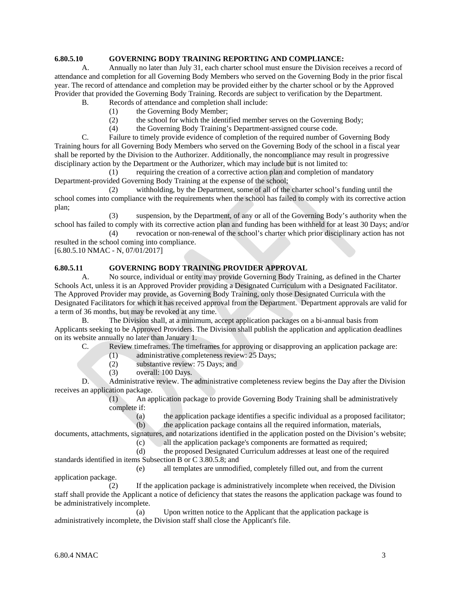## **6.80.5.10 GOVERNING BODY TRAINING REPORTING AND COMPLIANCE:**

A. Annually no later than July 31, each charter school must ensure the Division receives a record of attendance and completion for all Governing Body Members who served on the Governing Body in the prior fiscal year. The record of attendance and completion may be provided either by the charter school or by the Approved Provider that provided the Governing Body Training. Records are subject to verification by the Department.

- B. Records of attendance and completion shall include:
	- (1) the Governing Body Member;
	- (2) the school for which the identified member serves on the Governing Body;
	- (4) the Governing Body Training's Department-assigned course code.

C. Failure to timely provide evidence of completion of the required number of Governing Body Training hours for all Governing Body Members who served on the Governing Body of the school in a fiscal year shall be reported by the Division to the Authorizer. Additionally, the noncompliance may result in progressive disciplinary action by the Department or the Authorizer, which may include but is not limited to:

(1) requiring the creation of a corrective action plan and completion of mandatory Department-provided Governing Body Training at the expense of the school;

(2) withholding, by the Department, some of all of the charter school's funding until the school comes into compliance with the requirements when the school has failed to comply with its corrective action plan;

(3) suspension, by the Department, of any or all of the Governing Body's authority when the school has failed to comply with its corrective action plan and funding has been withheld for at least 30 Days; and/or

(4) revocation or non-renewal of the school's charter which prior disciplinary action has not resulted in the school coming into compliance.

[6.80.5.10 NMAC - N, 07/01/2017]

### **6.80.5.11 GOVERNING BODY TRAINING PROVIDER APPROVAL**

A. No source, individual or entity may provide Governing Body Training, as defined in the Charter Schools Act, unless it is an Approved Provider providing a Designated Curriculum with a Designated Facilitator. The Approved Provider may provide, as Governing Body Training, only those Designated Curricula with the Designated Facilitators for which it has received approval from the Department. Department approvals are valid for a term of 36 months, but may be revoked at any time.

B. The Division shall, at a minimum, accept application packages on a bi-annual basis from Applicants seeking to be Approved Providers. The Division shall publish the application and application deadlines on its website annually no later than January 1.

C. Review timeframes. The timeframes for approving or disapproving an application package are:

- (1) administrative completeness review: 25 Days;
- (2) substantive review: 75 Days; and
- (3) overall: 100 Days.

D. Administrative review. The administrative completeness review begins the Day after the Division receives an application package.

(1) An application package to provide Governing Body Training shall be administratively complete if:

(a) the application package identifies a specific individual as a proposed facilitator;<br>(b) the application package contains all the required information, materials, the application package contains all the required information, materials,

documents, attachments, signatures, and notarizations identified in the application posted on the Division's website;

- (c) all the application package's components are formatted as required;
- (d) the proposed Designated Curriculum addresses at least one of the required standards identified in items Subsection B or C 3.80.5.8; and

(e) all templates are unmodified, completely filled out, and from the current application package.

(2) If the application package is administratively incomplete when received, the Division staff shall provide the Applicant a notice of deficiency that states the reasons the application package was found to be administratively incomplete.

(a) Upon written notice to the Applicant that the application package is administratively incomplete, the Division staff shall close the Applicant's file.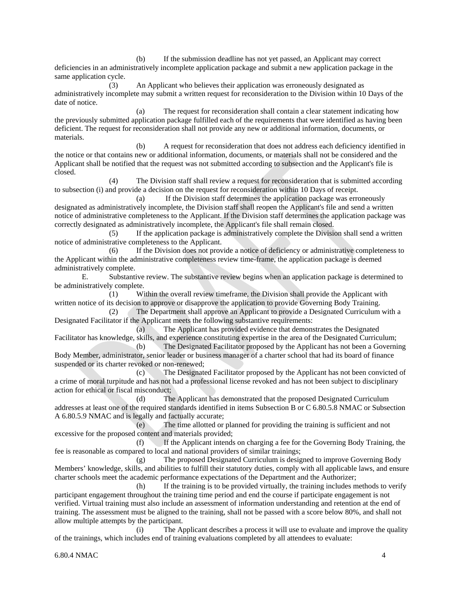(b) If the submission deadline has not yet passed, an Applicant may correct deficiencies in an administratively incomplete application package and submit a new application package in the same application cycle.

(3) An Applicant who believes their application was erroneously designated as administratively incomplete may submit a written request for reconsideration to the Division within 10 Days of the date of notice.

(a) The request for reconsideration shall contain a clear statement indicating how the previously submitted application package fulfilled each of the requirements that were identified as having been deficient. The request for reconsideration shall not provide any new or additional information, documents, or materials.

(b) A request for reconsideration that does not address each deficiency identified in the notice or that contains new or additional information, documents, or materials shall not be considered and the Applicant shall be notified that the request was not submitted according to subsection and the Applicant's file is closed.

(4) The Division staff shall review a request for reconsideration that is submitted according to subsection (i) and provide a decision on the request for reconsideration within 10 Days of receipt.

(a) If the Division staff determines the application package was erroneously designated as administratively incomplete, the Division staff shall reopen the Applicant's file and send a written notice of administrative completeness to the Applicant. If the Division staff determines the application package was correctly designated as administratively incomplete, the Applicant's file shall remain closed.

(5) If the application package is administratively complete the Division shall send a written notice of administrative completeness to the Applicant.

(6) If the Division does not provide a notice of deficiency or administrative completeness to the Applicant within the administrative completeness review time-frame, the application package is deemed administratively complete.

E. Substantive review. The substantive review begins when an application package is determined to be administratively complete.

(1) Within the overall review timeframe, the Division shall provide the Applicant with written notice of its decision to approve or disapprove the application to provide Governing Body Training.

(2) The Department shall approve an Applicant to provide a Designated Curriculum with a Designated Facilitator if the Applicant meets the following substantive requirements:

(a) The Applicant has provided evidence that demonstrates the Designated Facilitator has knowledge, skills, and experience constituting expertise in the area of the Designated Curriculum;

(b) The Designated Facilitator proposed by the Applicant has not been a Governing Body Member, administrator, senior leader or business manager of a charter school that had its board of finance suspended or its charter revoked or non-renewed;

(c) The Designated Facilitator proposed by the Applicant has not been convicted of a crime of moral turpitude and has not had a professional license revoked and has not been subject to disciplinary action for ethical or fiscal misconduct;

(d) The Applicant has demonstrated that the proposed Designated Curriculum addresses at least one of the required standards identified in items Subsection B or C 6.80.5.8 NMAC or Subsection A 6.80.5.9 NMAC and is legally and factually accurate;

(e) The time allotted or planned for providing the training is sufficient and not excessive for the proposed content and materials provided;

(f) If the Applicant intends on charging a fee for the Governing Body Training, the fee is reasonable as compared to local and national providers of similar trainings;

(g) The proposed Designated Curriculum is designed to improve Governing Body Members' knowledge, skills, and abilities to fulfill their statutory duties, comply with all applicable laws, and ensure charter schools meet the academic performance expectations of the Department and the Authorizer;

(h) If the training is to be provided virtually, the training includes methods to verify participant engagement throughout the training time period and end the course if participate engagement is not verified. Virtual training must also include an assessment of information understanding and retention at the end of training. The assessment must be aligned to the training, shall not be passed with a score below 80%, and shall not allow multiple attempts by the participant.

(i) The Applicant describes a process it will use to evaluate and improve the quality of the trainings, which includes end of training evaluations completed by all attendees to evaluate:

6.80.4 NMAC 4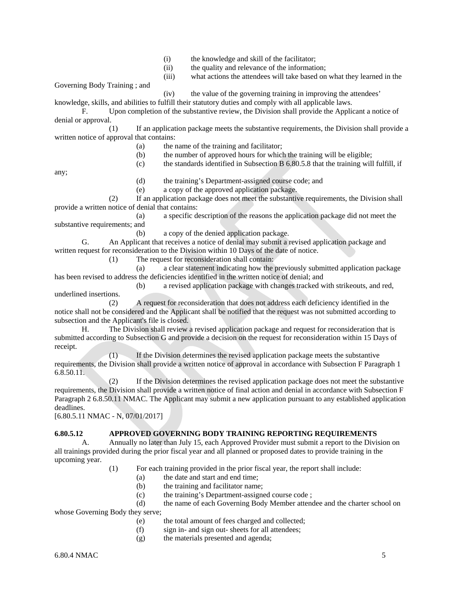- (i) the knowledge and skill of the facilitator;
- (ii) the quality and relevance of the information;
- (iii) what actions the attendees will take based on what they learned in the

Governing Body Training ; and

(iv) the value of the governing training in improving the attendees'

knowledge, skills, and abilities to fulfill their statutory duties and comply with all applicable laws.

F. Upon completion of the substantive review, the Division shall provide the Applicant a notice of denial or approval.

(1) If an application package meets the substantive requirements, the Division shall provide a written notice of approval that contains:

- (a) the name of the training and facilitator;
- (b) the number of approved hours for which the training will be eligible;

(c) the standards identified in Subsection B 6.80.5.8 that the training will fulfill, if

any;

- (d) the training's Department-assigned course code; and
- (e) a copy of the approved application package.

(2) If an application package does not meet the substantive requirements, the Division shall provide a written notice of denial that contains:

(a) a specific description of the reasons the application package did not meet the substantive requirements; and

(b) a copy of the denied application package.

G. An Applicant that receives a notice of denial may submit a revised application package and written request for reconsideration to the Division within 10 Days of the date of notice.

(1) The request for reconsideration shall contain:

(a) a clear statement indicating how the previously submitted application package has been revised to address the deficiencies identified in the written notice of denial; and

(b) a revised application package with changes tracked with strikeouts, and red, underlined insertions.

A request for reconsideration that does not address each deficiency identified in the notice shall not be considered and the Applicant shall be notified that the request was not submitted according to subsection and the Applicant's file is closed.

H. The Division shall review a revised application package and request for reconsideration that is submitted according to Subsection G and provide a decision on the request for reconsideration within 15 Days of receipt.

(1) If the Division determines the revised application package meets the substantive requirements, the Division shall provide a written notice of approval in accordance with Subsection F Paragraph 1 6.8.50.11.

(2) If the Division determines the revised application package does not meet the substantive requirements, the Division shall provide a written notice of final action and denial in accordance with Subsection F Paragraph 2 6.8.50.11 NMAC. The Applicant may submit a new application pursuant to any established application deadlines.

[6.80.5.11 NMAC - N, 07/01/2017]

## **6.80.5.12 APPROVED GOVERNING BODY TRAINING REPORTING REQUIREMENTS**

A. Annually no later than July 15, each Approved Provider must submit a report to the Division on all trainings provided during the prior fiscal year and all planned or proposed dates to provide training in the upcoming year.

- (1) For each training provided in the prior fiscal year, the report shall include:
	- (a) the date and start and end time;
	- (b) the training and facilitator name;
	- (c) the training's Department-assigned course code ;

(d) the name of each Governing Body Member attendee and the charter school on whose Governing Body they serve;

(e) the total amount of fees charged and collected;

- (f) sign in- and sign out- sheets for all attendees;
- (g) the materials presented and agenda;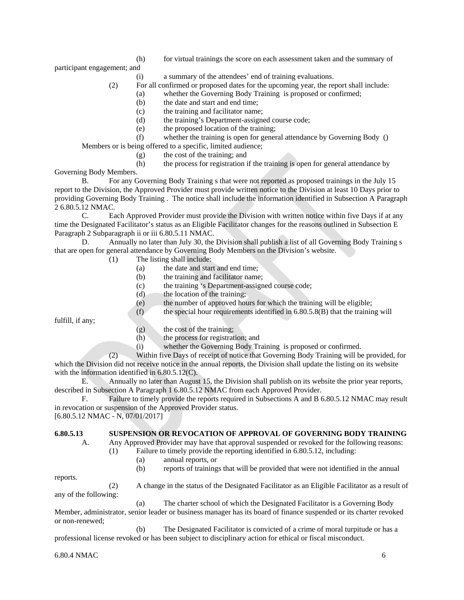(h) for virtual trainings the score on each assessment taken and the summary of

participant engagement; and

(i) a summary of the attendees' end of training evaluations.

(2) For all confirmed or proposed dates for the upcoming year, the report shall include:

(a) whether the Governing Body Training is proposed or confirmed;

- (b) the date and start and end time;
- (c) the training and facilitator name;
- (d) the training's Department-assigned course code;
- (e) the proposed location of the training;

(f) whether the training is open for general attendance by Governing Body () Members or is being offered to a specific, limited audience;

(g) the cost of the training; and

(h) the process for registration if the training is open for general attendance by

Governing Body Members.

B. For any Governing Body Training s that were not reported as proposed trainings in the July 15 report to the Division, the Approved Provider must provide written notice to the Division at least 10 Days prior to providing Governing Body Training . The notice shall include the information identified in Subsection A Paragraph 2 6.80.5.12 NMAC.

C. Each Approved Provider must provide the Division with written notice within five Days if at any time the Designated Facilitator's status as an Eligible Facilitator changes for the reasons outlined in Subsection E Paragraph 2 Subparagraph ii or iii 6.80.5.11 NMAC.

D. Annually no later than July 30, the Division shall publish a list of all Governing Body Training s that are open for general attendance by Governing Body Members on the Division's website.

- (1) The listing shall include:
	- (a) the date and start and end time;
	- (b) the training and facilitator name;
	- (c) the training 's Department-assigned course code;
	- $(d)$  the location of the training;
	- (e) the number of approved hours for which the training will be eligible;
	- $(f)$  the special hour requirements identified in 6.80.5.8(B) that the training will

fulfill, if any;

- (g) the cost of the training;
- (h) the process for registration; and
- (i) whether the Governing Body Training is proposed or confirmed.

(2) Within five Days of receipt of notice that Governing Body Training will be provided, for which the Division did not receive notice in the annual reports, the Division shall update the listing on its website with the information identified in 6.80.5.12(C).

E. Annually no later than August 15, the Division shall publish on its website the prior year reports, described in Subsection A Paragraph 1 6.80.5.12 NMAC from each Approved Provider.

F. Failure to timely provide the reports required in Subsections A and B 6.80.5.12 NMAC may result in revocation or suspension of the Approved Provider status.

[6.80.5.12 NMAC - N, 07/01/2017]

## **6.80.5.13 SUSPENSION OR REVOCATION OF APPROVAL OF GOVERNING BODY TRAINING**

A. Any Approved Provider may have that approval suspended or revoked for the following reasons: (1) Failure to timely provide the reporting identified in 6.80.5.12, including:

(a) annual reports, or

(b) reports of trainings that will be provided that were not identified in the annual

reports.

(2) A change in the status of the Designated Facilitator as an Eligible Facilitator as a result of any of the following:

(a) The charter school of which the Designated Facilitator is a Governing Body Member, administrator, senior leader or business manager has its board of finance suspended or its charter revoked or non-renewed;

(b) The Designated Facilitator is convicted of a crime of moral turpitude or has a professional license revoked or has been subject to disciplinary action for ethical or fiscal misconduct.

6.80.4 NMAC 6